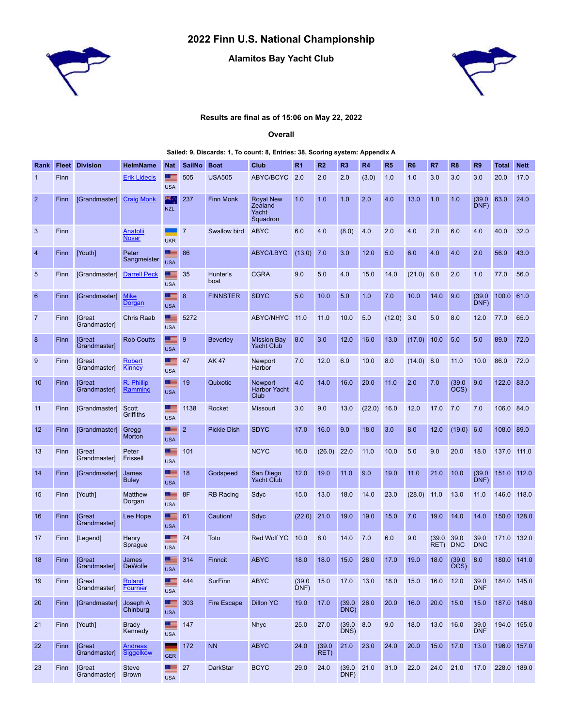## **2022 Finn U.S. National Championship**



## **Alamitos Bay Yacht Club**



## **Results are final as of 15:06 on May 22, 2022**

**Overall**

## **Sailed: 9, Discards: 1, To count: 8, Entries: 38, Scoring system: Appendix A**

| Rank            | <b>Fleet</b> | <b>Division</b>                      | <b>HelmName</b>                    | <b>Nat</b>                    | <b>SailNo</b>  | <b>Boat</b>        | Club                                             | R <sub>1</sub> | R <sub>2</sub> | R <sub>3</sub> | R <sub>4</sub> | R <sub>5</sub> | R <sub>6</sub> | R7             | R <sub>8</sub>     | R <sub>9</sub>     | <b>Total</b> | <b>Nett</b> |
|-----------------|--------------|--------------------------------------|------------------------------------|-------------------------------|----------------|--------------------|--------------------------------------------------|----------------|----------------|----------------|----------------|----------------|----------------|----------------|--------------------|--------------------|--------------|-------------|
| 1               | Finn         |                                      | <b>Erik Lidecis</b>                | ▝<br><b>USA</b>               | 505            | <b>USA505</b>      | ABYC/BCYC                                        | 2.0            | 2.0            | 2.0            | (3.0)          | 1.0            | 1.0            | 3.0            | 3.0                | 3.0                | 20.0         | 17.0        |
| $\overline{2}$  | Finn         | [Grandmaster]                        | <b>Craig Monk</b>                  | 96.2<br><b>NZL</b>            | 237            | <b>Finn Monk</b>   | <b>Royal New</b><br>Zealand<br>Yacht<br>Squadron | 1.0            | 1.0            | 1.0            | 2.0            | 4.0            | 13.0           | 1.0            | 1.0                | (39.0)<br>DNF)     | 63.0         | 24.0        |
| $\mathbf{3}$    | Finn         |                                      | Anatolii<br><b>Nosar</b>           | <b>UKR</b>                    | $\overline{7}$ | Swallow bird       | <b>ABYC</b>                                      | 6.0            | 4.0            | (8.0)          | 4.0            | 2.0            | 4.0            | 2.0            | 6.0                | 4.0                | 40.0         | 32.0        |
| $\overline{4}$  | Finn         | [Youth]                              | Peter<br>Sangmeister               | <b>USA</b>                    | 86             |                    | <b>ABYC/LBYC</b>                                 | (13.0)         | 7.0            | 3.0            | 12.0           | 5.0            | 6.0            | 4.0            | 4.0                | 2.0                | 56.0         | 43.0        |
| 5               | Finn         | [Grandmaster]                        | <b>Darrell Peck</b>                | <b>USA</b>                    | 35             | Hunter's<br>boat   | <b>CGRA</b>                                      | 9.0            | 5.0            | 4.0            | 15.0           | 14.0           | (21.0)         | 6.0            | 2.0                | 1.0                | 77.0         | 56.0        |
| $6\phantom{1}6$ | Finn         | [Grandmaster]                        | <b>Mike</b><br><u>Dorgan</u>       | <b>PERSONAL</b><br><b>USA</b> | 8              | <b>FINNSTER</b>    | <b>SDYC</b>                                      | 5.0            | 10.0           | 5.0            | 1.0            | 7.0            | 10.0           | 14.0           | 9.0                | (39.0)<br>DNF)     | 100.0        | 61.0        |
| $\overline{7}$  | Finn         | <b>[Great</b><br><b>Grandmaster1</b> | <b>Chris Raab</b>                  | - 11<br><b>USA</b>            | 5272           |                    | ABYC/NHYC                                        | 11.0           | 11.0           | 10.0           | 5.0            | (12.0)         | 3.0            | 5.0            | 8.0                | 12.0               | 77.0         | 65.0        |
| 8               | Finn         | <b>S</b> reat<br>Grandmaster]        | <b>Rob Coutts</b>                  | ▀▀<br><b>USA</b>              | 9              | <b>Beverley</b>    | <b>Mission Bay</b><br><b>Yacht Club</b>          | 8.0            | 3.0            | 12.0           | 16.0           | 13.0           | (17.0)         | 10.0           | 5.0                | 5.0                | 89.0         | 72.0        |
| 9               | Finn         | <b>[Great</b><br><b>Grandmaster1</b> | <b>Robert</b><br><b>Kinney</b>     | <b>FEE</b><br><b>USA</b>      | 47             | <b>AK47</b>        | Newport<br>Harbor                                | 7.0            | 12.0           | 6.0            | 10.0           | 8.0            | $(14.0)$ 8.0   |                | 11.0               | 10.0               | 86.0         | 72.0        |
| 10              | Finn         | <b>S</b> reat<br>Grandmaster]        | R. Phillip<br>Ramming              | <b>FEE</b><br><b>USA</b>      | 19             | Quixotic           | <b>Newport</b><br><b>Harbor Yacht</b><br>Club    | 4.0            | 14.0           | 16.0           | 20.0           | 11.0           | 2.0            | 7.0            | (39.0)<br>OCS)     | 9.0                | 122.0        | 83.0        |
| 11              | Finn         | [Grandmaster]                        | Scott<br>Griffiths                 | <u>. =</u><br><b>USA</b>      | 1138           | Rocket             | <b>Missouri</b>                                  | 3.0            | 9.0            | 13.0           | (22.0)         | 16.0           | 12.0           | 17.0           | 7.0                | 7.0                | 106.0 84.0   |             |
| 12              | Finn         | [Grandmaster]                        | Gregg<br>Morton                    | <b>FEI</b><br><b>USA</b>      | $\overline{2}$ | <b>Pickle Dish</b> | <b>SDYC</b>                                      | 17.0           | 16.0           | 9.0            | 18.0           | 3.0            | 8.0            | 12.0           | (19.0)             | 6.0                | 108.0        | 89.0        |
| 13              | Finn         | <b>S</b> reat<br>Grandmaster]        | Peter<br>Frissell                  | ▁▆<br><b>USA</b>              | 101            |                    | <b>NCYC</b>                                      | 16.0           | (26.0)         | 22.0           | 11.0           | 10.0           | 5.0            | 9.0            | 20.0               | 18.0               | 137.0        | 111.0       |
| 14              | Finn         | [Grandmaster]                        | James<br><b>Buley</b>              | <b>FEE</b><br><b>USA</b>      | 18             | Godspeed           | San Diego<br><b>Yacht Club</b>                   | 12.0           | 19.0           | 11.0           | 9.0            | 19.0           | 11.0           | 21.0           | 10.0               | (39.0)<br>DNF)     | 151.0        | 112.0       |
| 15              | Finn         | [Youth]                              | Matthew<br>Dorgan                  | ہے۔<br><b>USA</b>             | 8F             | <b>RB Racing</b>   | Sdyc                                             | 15.0           | 13.0           | 18.0           | 14.0           | 23.0           | (28.0)         | 11.0           | 13.0               | 11.0               | 146.0        | 118.0       |
| 16              | <b>Finn</b>  | <b>S</b> reat<br>Grandmaster1        | Lee Hope                           | <u>est</u><br><b>USA</b>      | 61             | Caution!           | Sdyc                                             | (22.0)         | 21.0           | 19.0           | 19.0           | 15.0           | 7.0            | 19.0           | 14.0               | 14.0               | 150.0        | 128.0       |
| 17              | Finn         | [Legend]                             | Henry<br>Sprague                   | ▝▀<br><b>USA</b>              | 74             | Toto               | <b>Red Wolf YC</b>                               | 10.0           | 8.0            | 14.0           | 7.0            | 6.0            | 9.0            | (39.0)<br>RET) | 39.0<br><b>DNC</b> | 39.0<br><b>DNC</b> | 171.0 132.0  |             |
| 18              | Finn         | <b>S</b> reat<br>Grandmaster]        | James<br><b>DeWolfe</b>            | <b>PERSONAL</b><br><b>USA</b> | 314            | Finncit            | <b>ABYC</b>                                      | 18.0           | 18.0           | 15.0           | 28.0           | 17.0           | 19.0           | 18.0           | (39.0)<br>OCS)     | 8.0                | 180.0        | 141.0       |
| 19              | Finn         | [Great<br>Grandmaster]               | Roland<br><b>Fournier</b>          | <u>a se</u><br><b>USA</b>     | 444            | SurFinn            | <b>ABYC</b>                                      | (39.0)<br>DNF) | 15.0           | 17.0           | 13.0           | 18.0           | 15.0           | 16.0           | 12.0               | 39.0<br><b>DNF</b> | 184.0 145.0  |             |
| 20              | Finn         | [Grandmaster]                        | Joseph A<br>Chinburg               | ■<br><b>USA</b>               | 303            | <b>Fire Escape</b> | <b>Dillon YC</b>                                 | 19.0           | 17.0           | (39.0)<br>DNC) | 26.0           | 20.0           | 16.0           | 20.0           | 15.0               | 15.0               | 187.0 148.0  |             |
| 21              | Finn         | [Youth]                              | <b>Brady</b><br>Kennedy            | Æ<br><b>USA</b>               | 147            |                    | <b>Nhyc</b>                                      | 25.0           | 27.0           | (39.0)<br>DNS) | 8.0            | 9.0            | 18.0           | 13.0           | 16.0               | 39.0<br><b>DNF</b> | 194.0 155.0  |             |
| 22              | Finn         | [Great<br>Grandmaster]               | <b>Andreas</b><br><b>Siggelkow</b> | ۰<br><b>GER</b>               | 172            | <b>NN</b>          | <b>ABYC</b>                                      | 24.0           | (39.0)<br>RET) | 21.0           | 23.0           | 24.0           | 20.0           | 15.0           | 17.0               | 13.0               | 196.0 157.0  |             |
| 23              | Finn         | <b>[Great</b><br>Grandmaster]        | <b>Steve</b><br><b>Brown</b>       | <u>a se</u><br><b>USA</b>     | 27             | DarkStar           | <b>BCYC</b>                                      | 29.0           | 24.0           | (39.0)<br>DNF) | 21.0           | 31.0           | 22.0           | 24.0           | 21.0               | 17.0               | 228.0 189.0  |             |